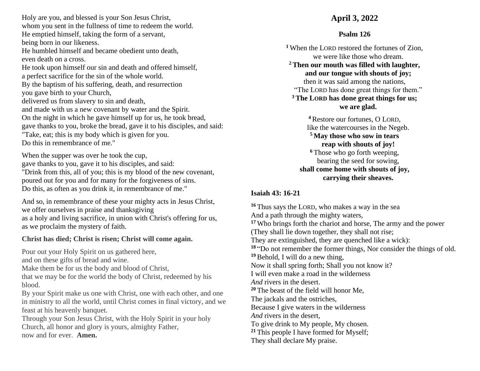Holy are you, and blessed is your Son Jesus Christ, whom you sent in the fullness of time to redeem the world. He emptied himself, taking the form of a servant, being born in our likeness. He humbled himself and became obedient unto death, even death on a cross. He took upon himself our sin and death and offered himself, a perfect sacrifice for the sin of the whole world. By the baptism of his suffering, death, and resurrection you gave birth to your Church, delivered us from slavery to sin and death, and made with us a new covenant by water and the Spirit. On the night in which he gave himself up for us, he took bread, gave thanks to you, broke the bread, gave it to his disciples, and said: "Take, eat; this is my body which is given for you. Do this in remembrance of me."

When the supper was over he took the cup, gave thanks to you, gave it to his disciples, and said: "Drink from this, all of you; this is my blood of the new covenant, poured out for you and for many for the forgiveness of sins. Do this, as often as you drink it, in remembrance of me."

And so, in remembrance of these your mighty acts in Jesus Christ, we offer ourselves in praise and thanksgiving as a holy and living sacrifice, in union with Christ's offering for us, as we proclaim the mystery of faith.

**Christ has died; Christ is risen; Christ will come again.**

Pour out your Holy Spirit on us gathered here, and on these gifts of bread and wine.

Make them be for us the body and blood of Christ,

that we may be for the world the body of Christ, redeemed by his blood.

By your Spirit make us one with Christ, one with each other, and one in ministry to all the world, until Christ comes in final victory, and we feast at his heavenly banquet.

Through your Son Jesus Christ, with the Holy Spirit in your holy Church, all honor and glory is yours, almighty Father, now and for ever. **Amen.**

# **April 3, 2022**

#### **Psalm 126**

**<sup>1</sup>** When the LORD restored the fortunes of Zion, we were like those who dream. **<sup>2</sup> Then our mouth was filled with laughter, and our tongue with shouts of joy;** then it was said among the nations, "The LORD has done great things for them." **<sup>3</sup> The LORD has done great things for us; we are glad.**

**<sup>4</sup>** Restore our fortunes, O LORD, like the watercourses in the Negeb. **<sup>5</sup> May those who sow in tears reap with shouts of joy! <sup>6</sup>** Those who go forth weeping, bearing the seed for sowing, **shall come home with shouts of joy, carrying their sheaves.**

### **Isaiah 43: 16-21**

**<sup>16</sup>** Thus says the LORD, who makes a way in the sea And a path through the mighty waters, **<sup>17</sup>** Who brings forth the chariot and horse, The army and the power (They shall lie down together, they shall not rise; They are extinguished, they are quenched like a wick): **<sup>18</sup>** "Do not remember the former things, Nor consider the things of old. **<sup>19</sup>**Behold, I will do a new thing, Now it shall spring forth; Shall you not know it? I will even make a road in the wilderness *And* rivers in the desert. **<sup>20</sup>** The beast of the field will honor Me, The jackals and the ostriches, Because I give waters in the wilderness *And* rivers in the desert, To give drink to My people, My chosen. **<sup>21</sup>** This people I have formed for Myself; They shall declare My praise.